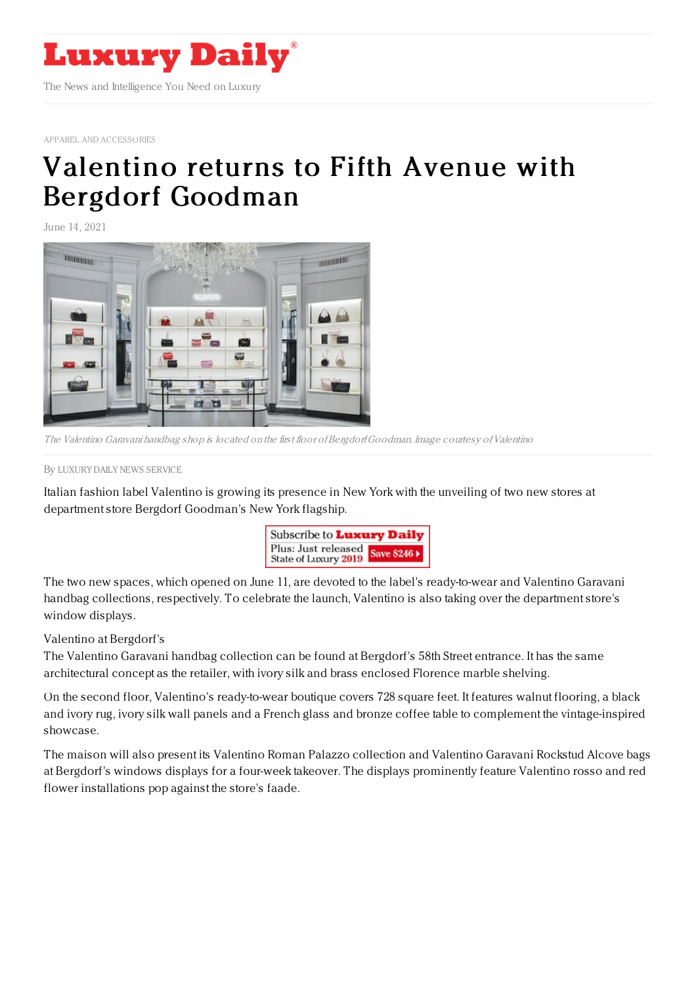

APPAREL AND [ACCESSORIES](https://www.luxurydaily.com/category/sectors/apparel-and-accessories/)

## [Valentino](https://www.luxurydaily.com/valentino-bergdorf-goodman/) returns to Fifth Avenue with Bergdorf Goodman

June 14, 2021



The Valentino Garavani handbag shop is located on the first floor ofBergdorfGoodman. Image courtesy ofValentino

By LUXURY DAILY NEWS [SERVICE](file:///author/luxury-daily-news-service)

Italian fashion label Valentino is growing its presence in New York with the unveiling of two new stores at department store Bergdorf Goodman's New York flagship.



The two new spaces, which opened on June 11, are devoted to the label's ready-to-wear and Valentino Garavani handbag collections, respectively. To celebrate the launch, Valentino is also taking over the department store's window displays.

Valentino at Bergdorf's

The Valentino Garavani handbag collection can be found at Bergdorf's 58th Street entrance. It has the same architectural concept as the retailer, with ivory silk and brass enclosed Florence marble shelving.

On the second floor, Valentino's ready-to-wear boutique covers 728 square feet. It features walnut flooring, a black and ivory rug, ivory silk wall panels and a French glass and bronze coffee table to complement the vintage-inspired showcase.

The maison will also present its Valentino Roman Palazzo collection and Valentino Garavani Rockstud Alcove bags at Bergdorf's windows displays for a four-week takeover. The displays prominently feature Valentino rosso and red flower installations pop against the store's faade.